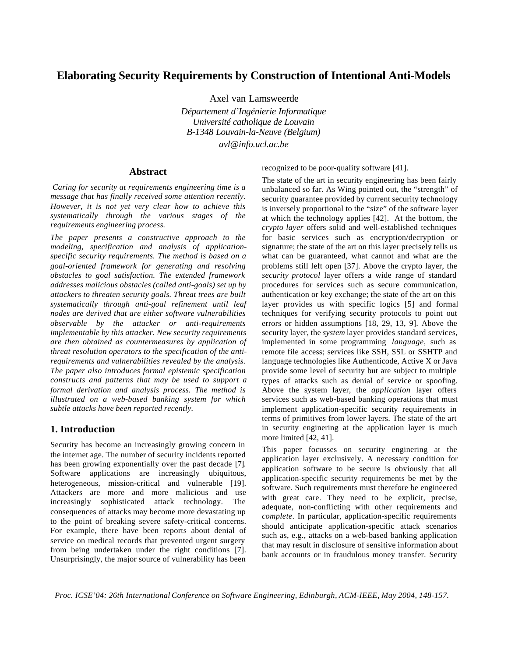# **Elaborating Security Requirements by Construction of Intentional Anti-Models**

Axel van Lamsweerde

*Département d'Ingénierie Informatique Université catholique de Louvain B-1348 Louvain-la-Neuve (Belgium) avl@info.ucl.ac.be*

#### **Abstract**

 *Caring for security at requirements engineering time is a message that has finally received some attention recently. However, it is not yet very clear how to achieve this systematically through the various stages of the requirements engineering process.*

*The paper presents a constructive approach to the modeling, specification and analysis of applicationspecific security requirements. The method is based on a goal-oriented framework for generating and resolving obstacles to goal satisfaction. The extended framework addresses malicious obstacles (called anti-goals) set up by attackers to threaten security goals. Threat trees are built systematically through anti-goal refinement until leaf nodes are derived that are either software vulnerabilities observable by the attacker or anti-requirements implementable by this attacker. New security requirements are then obtained as countermeasures by application of threat resolution operators to the specification of the antirequirements and vulnerabilities revealed by the analysis. The paper also introduces formal epistemic specification constructs and patterns that may be used to support a formal derivation and analysis process. The method is illustrated on a web-based banking system for which subtle attacks have been reported recently.*

### **1. Introduction**

Security has become an increasingly growing concern in the internet age. The number of security incidents reported has been growing exponentially over the past decade [7]. Software applications are increasingly ubiquitous, heterogeneous, mission-critical and vulnerable [19]. Attackers are more and more malicious and use increasingly sophisticated attack technology. The consequences of attacks may become more devastating up to the point of breaking severe safety-critical concerns. For example, there have been reports about denial of service on medical records that prevented urgent surgery from being undertaken under the right conditions [7]. Unsurprisingly, the major source of vulnerability has been

recognized to be poor-quality software [41].

The state of the art in security engineering has been fairly unbalanced so far. As Wing pointed out, the "strength" of security guarantee provided by current security technology is inversely proportional to the "size" of the software layer at which the technology applies [42]. At the bottom, the *crypto layer* offers solid and well-established techniques for basic services such as encryption/decryption or signature; the state of the art on this layer precisely tells us what can be guaranteed, what cannot and what are the problems still left open [37]. Above the crypto layer, the *security protocol* layer offers a wide range of standard procedures for services such as secure communication, authentication or key exchange; the state of the art on this layer provides us with specific logics [5] and formal techniques for verifying security protocols to point out errors or hidden assumptions [18, 29, 13, 9]. Above the security layer, the *system* layer provides standard services, implemented in some programming *language,* such as remote file access; services like SSH, SSL or SSHTP and language technologies like Authenticode, Active X or Java provide some level of security but are subject to multiple types of attacks such as denial of service or spoofing. Above the system layer, the *application* layer offers services such as web-based banking operations that must implement application-specific security requirements in terms of primitives from lower layers. The state of the art in security enginering at the application layer is much more limited [42, 41].

This paper focusses on security enginering at the application layer exclusively. A necessary condition for application software to be secure is obviously that all application-specific security requirements be met by the software. Such requirements must therefore be engineered with great care. They need to be explicit, precise, adequate, non-conflicting with other requirements and *complete*. In particular, application-specific requirements should anticipate application-specific attack scenarios such as, e.g., attacks on a web-based banking application that may result in disclosure of sensitive information about bank accounts or in fraudulous money transfer. Security

*Proc. ICSE'04: 26th International Conference on Software Engineering, Edinburgh, ACM-IEEE, May 2004, 148-157.*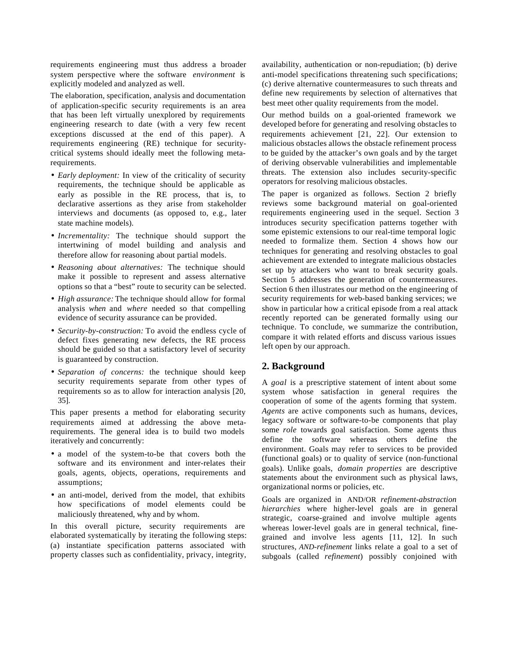requirements engineering must thus address a broader system perspective where the software *environment* is explicitly modeled and analyzed as well.

The elaboration, specification, analysis and documentation of application-specific security requirements is an area that has been left virtually unexplored by requirements engineering research to date (with a very few recent exceptions discussed at the end of this paper). A requirements engineering (RE) technique for securitycritical systems should ideally meet the following metarequirements.

- *Early deployment:* In view of the criticality of security requirements, the technique should be applicable as early as possible in the RE process, that is, to declarative assertions as they arise from stakeholder interviews and documents (as opposed to, e.g., later state machine models).
- *Incrementality:* The technique should support the intertwining of model building and analysis and therefore allow for reasoning about partial models.
- *Reasoning about alternatives:* The technique should make it possible to represent and assess alternative options so that a "best" route to security can be selected.
- *High assurance:* The technique should allow for formal analysis *when* and *where* needed so that compelling evidence of security assurance can be provided.
- *Security-by-construction:* To avoid the endless cycle of defect fixes generating new defects, the RE process should be guided so that a satisfactory level of security is guaranteed by construction.
- *Separation of concerns:* the technique should keep security requirements separate from other types of requirements so as to allow for interaction analysis [20, 35].

This paper presents a method for elaborating security requirements aimed at addressing the above metarequirements. The general idea is to build two models iteratively and concurrently:

- a model of the system-to-be that covers both the software and its environment and inter-relates their goals, agents, objects, operations, requirements and assumptions;
- an anti-model, derived from the model, that exhibits how specifications of model elements could be maliciously threatened, why and by whom.

In this overall picture, security requirements are elaborated systematically by iterating the following steps: (a) instantiate specification patterns associated with property classes such as confidentiality, privacy, integrity, availability, authentication or non-repudiation; (b) derive anti-model specifications threatening such specifications; (c) derive alternative countermeasures to such threats and define new requirements by selection of alternatives that best meet other quality requirements from the model.

Our method builds on a goal-oriented framework we developed before for generating and resolving obstacles to requirements achievement [21, 22]. Our extension to malicious obstacles allows the obstacle refinement process to be guided by the attacker's own goals and by the target of deriving observable vulnerabilities and implementable threats. The extension also includes security-specific operators for resolving malicious obstacles.

The paper is organized as follows. Section 2 briefly reviews some background material on goal-oriented requirements engineering used in the sequel. Section 3 introduces security specification patterns together with some epistemic extensions to our real-time temporal logic needed to formalize them. Section 4 shows how our techniques for generating and resolving obstacles to goal achievement are extended to integrate malicious obstacles set up by attackers who want to break security goals. Section 5 addresses the generation of countermeasures. Section 6 then illustrates our method on the engineering of security requirements for web-based banking services; we show in particular how a critical episode from a real attack recently reported can be generated formally using our technique. To conclude, we summarize the contribution, compare it with related efforts and discuss various issues left open by our approach.

### **2. Background**

A *goal* is a prescriptive statement of intent about some system whose satisfaction in general requires the cooperation of some of the agents forming that system. *Agents* are active components such as humans, devices, legacy software or software-to-be components that play some *role* towards goal satisfaction. Some agents thus define the software whereas others define the environment. Goals may refer to services to be provided (functional goals) or to quality of service (non-functional goals). Unlike goals, *domain properties* are descriptive statements about the environment such as physical laws, organizational norms or policies, etc.

Goals are organized in AND/OR *refinement-abstraction hierarchies* where higher-level goals are in general strategic, coarse-grained and involve multiple agents whereas lower-level goals are in general technical, finegrained and involve less agents [11, 12]. In such structures, *AND-refinement* links relate a goal to a set of subgoals (called *refinement*) possibly conjoined with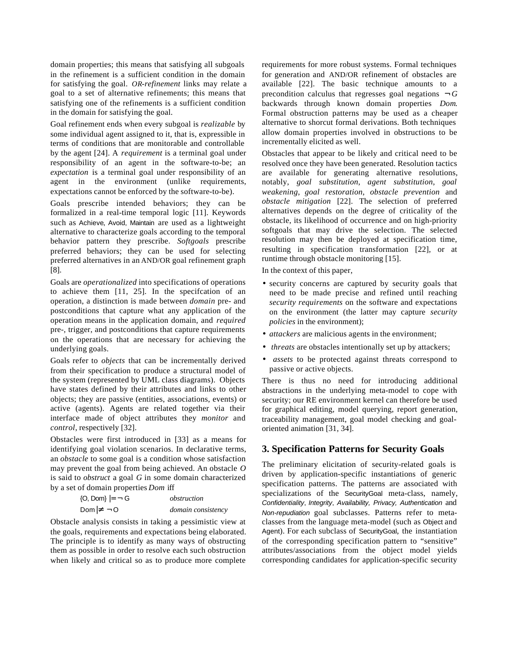domain properties; this means that satisfying all subgoals in the refinement is a sufficient condition in the domain for satisfying the goal. *OR-refinement* links may relate a goal to a set of alternative refinements; this means that satisfying one of the refinements is a sufficient condition in the domain for satisfying the goal.

Goal refinement ends when every subgoal is *realizable* by some individual agent assigned to it, that is, expressible in terms of conditions that are monitorable and controllable by the agent [24]. A *requirement* is a terminal goal under responsibility of an agent in the software-to-be; an *expectation* is a terminal goal under responsibility of an agent in the environment (unlike requirements, expectations cannot be enforced by the software-to-be).

Goals prescribe intended behaviors; they can be formalized in a real-time temporal logic [11]. Keywords such as Achieve, Avoid, Maintain are used as a lightweight alternative to characterize goals according to the temporal behavior pattern they prescribe. *Softgoals* prescribe preferred behaviors; they can be used for selecting preferred alternatives in an AND/OR goal refinement graph [8].

Goals are *operationalized* into specifications of operations to achieve them [11, 25]. In the specifcation of an operation, a distinction is made between *domain* pre- and postconditions that capture what any application of the operation means in the application domain, and *required* pre-, trigger, and postconditions that capture requirements on the operations that are necessary for achieving the underlying goals.

Goals refer to *objects* that can be incrementally derived from their specification to produce a structural model of the system (represented by UML class diagrams). Objects have states defined by their attributes and links to other objects; they are passive (entities, associations, events) or active (agents). Agents are related together via their interface made of object attributes they *monitor* and *control*, respectively [32].

Obstacles were first introduced in [33] as a means for identifying goal violation scenarios. In declarative terms, an *obstacle* to some goal is a condition whose satisfaction may prevent the goal from being achieved. An obstacle *O* is said to *obstruct* a goal *G* in some domain characterized by a set of domain properties *Dom* iff

| $\{O, Dom\}$ $\models \neg G$ | obstruction        |
|-------------------------------|--------------------|
| Dom $\neq \neg$ O             | domain consistency |

Obstacle analysis consists in taking a pessimistic view at the goals, requirements and expectations being elaborated. The principle is to identify as many ways of obstructing them as possible in order to resolve each such obstruction when likely and critical so as to produce more complete requirements for more robust systems. Formal techniques for generation and AND/OR refinement of obstacles are available [22]. The basic technique amounts to a precondition calculus that regresses goal negations  $\mathcal{O}G$ backwards through known domain properties *Dom*. Formal obstruction patterns may be used as a cheaper alternative to shorcut formal derivations. Both techniques allow domain properties involved in obstructions to be incrementally elicited as well.

Obstacles that appear to be likely and critical need to be resolved once they have been generated. Resolution tactics are available for generating alternative resolutions, notably, *goal substitution*, *agent substitution*, *goal weakening*, *goal restoration*, *obstacle prevention* and *obstacle mitigation* [22]. The selection of preferred alternatives depends on the degree of criticality of the obstacle, its likelihood of occurrence and on high-priority softgoals that may drive the selection. The selected resolution may then be deployed at specification time, resulting in specification transformation [22], or at runtime through obstacle monitoring [15].

In the context of this paper,

- security concerns are captured by security goals that need to be made precise and refined until reaching *security requirements* on the software and expectations on the environment (the latter may capture *security policies* in the environment);
- *attackers* are malicious agents in the environment;
- *threats* are obstacles intentionally set up by attackers;
- *assets* to be protected against threats correspond to passive or active objects.

There is thus no need for introducing additional abstractions in the underlying meta-model to cope with security; our RE environment kernel can therefore be used for graphical editing, model querying, report generation, traceability management, goal model checking and goaloriented animation [31, 34].

## **3. Specification Patterns for Security Goals**

The preliminary elicitation of security-related goals is driven by application-specific instantiations of generic specification patterns. The patterns are associated with specializations of the SecurityGoal meta-class, namely, *Confidentiality*, *Integrity*, *Availability, Privacy, Authentication* and *Non-repudiation* goal subclasses. Patterns refer to metaclasses from the language meta-model (such as Object and Agent). For each subclass of SecurityGoal, the instantiation of the corresponding specification pattern to "sensitive" attributes/associations from the object model yields corresponding candidates for application-specific security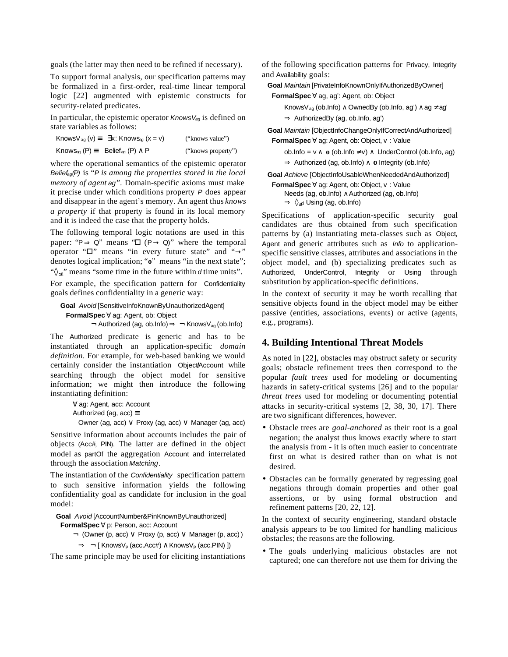goals (the latter may then need to be refined if necessary).

To support formal analysis, our specification patterns may be formalized in a first-order, real-time linear temporal logic [22] augmented with epistemic constructs for security-related predicates.

In particular, the epistemic operator *KnowsVag* is defined on state variables as follows:

Knows $V_{aa}(v) = \exists x: Knows_{aa}(x = v)$  ("knows value") Knows<sub>ag</sub> (P) ≡ Belief<sub>ag</sub> (P) ∧ P ("knows property")

where the operational semantics of the epistemic operator *Beliefag(P)* is *"P is among the properties stored in the local memory of agent ag"*. Domain-specific axioms must make it precise under which conditions property *P* does appear and disappear in the agent's memory. An agent thus *knows a property* if that property is found in its local memory and it is indeed the case that the property holds.

The following temporal logic notations are used in this paper: "P⇒ Q" means " $\Box$  (P→ Q)" where the temporal operator " $\square$ " means "in every future state" and " $\rightarrow$ " denotes logical implication; "**o**" means "in the next state"; "◊<sup>≤</sup>d" means "some time in the future within *d* time units".

For example, the specification pattern for Confidentiality goals defines confidentiality in a generic way:

```
Goal Avoid [SensitiveInfoKnownByUnauthorizedAgent]
FormalSpec ∀ ag: Agent, ob: Object
         \neg Authorized (ag, ob.Info) \Rightarrow \neg KnowsV<sub>ag</sub> (ob.Info)
```
The Authorized predicate is generic and has to be instantiated through an application-specific *domain definition*. For example, for web-based banking we would certainly consider the instantiation Object**/**Account while searching through the object model for sensitive information; we might then introduce the following instantiating definition:

> ∀ ag: Agent, acc: Account Authorized (ag, acc)  $\equiv$ Owner (ag, acc)  $\vee$  Proxy (ag, acc)  $\vee$  Manager (ag, acc)

Sensitive information about accounts includes the pair of objects (Acc#, PIN). The latter are defined in the object model as partOf the aggregation Account and interrelated through the association *Matching*.

The instantiation of the *Confidentiality* specification pattern to such sensitive information yields the following confidentiality goal as candidate for inclusion in the goal model:

**Goal** *Avoid* [AccountNumber&PinKnownByUnauthorized] **FormalSpec** ∀ p: Person, acc: Account

¬ (Owner (p, acc) ∨ Proxy (p, acc) ∨ Manager (p, acc) )  $\Rightarrow \neg$  [ Knows V<sub>p</sub> (acc.Acc#) ∧ Knows V<sub>p</sub> (acc.PIN) ])

The same principle may be used for eliciting instantiations

of the following specification patterns for Privacy, Integrity and Availability goals:

**Goal** *Maintain* [PrivateInfoKnownOnlyIfAuthorizedByOwner] **FormalSpec** ∀ ag, ag': Agent, ob: Object

KnowsV<sub>ag</sub> (ob.Info) ∧ OwnedBy (ob.Info, ag') ∧ ag  $\neq$  ag'

⇒ AuthorizedBy (ag, ob.Info, ag')

**Goal** *Maintain* [ObjectInfoChangeOnlyIfCorrectAndAuthorized] **FormalSpec** ∀ ag: Agent, ob: Object, v : Value

ob.Info =  $v \wedge$  **o** (ob.Info ≠ v)  $\wedge$  UnderControl (ob.Info, ag) ⇒ Authorized (ag, ob.Info) ∧ **o** Integrity (ob.Info)

**Goal** *Achieve* [ObjectInfoUsableWhenNeededAndAuthorized]

**FormalSpec** ∀ ag: Agent, ob: Object, v : Value

Needs (ag, ob.Info) ∧ Authorized (ag, ob.Info) ⇒ ◊≤<sup>d</sup>Using (ag, ob.Info)

Specifications of application-specific security goal candidates are thus obtained from such specification patterns by (a) instantiating meta-classes such as Object, Agent and generic attributes such as *Info* to applicationspecific sensitive classes, attributes and associations in the object model, and (b) specializing predicates such as Authorized, UnderControl, Integrity or Using through substitution by application-specific definitions.

In the context of security it may be worth recalling that sensitive objects found in the object model may be either passive (entities, associations, events) or active (agents, e.g., programs).

## **4. Building Intentional Threat Models**

As noted in [22], obstacles may obstruct safety or security goals; obstacle refinement trees then correspond to the popular *fault trees* used for modeling or documenting hazards in safety-critical systems [26] and to the popular *threat trees* used for modeling or documenting potential attacks in security-critical systems [2, 38, 30, 17]. There are two significant differences, however.

- Obstacle trees are *goal-anchored* as their root is a goal negation; the analyst thus knows exactly where to start the analysis from - it is often much easier to concentrate first on what is desired rather than on what is not desired.
- Obstacles can be formally generated by regressing goal negations through domain properties and other goal assertions, or by using formal obstruction and refinement patterns [20, 22, 12].

In the context of security engineering, standard obstacle analysis appears to be too limited for handling malicious obstacles; the reasons are the following.

• The goals underlying malicious obstacles are not captured; one can therefore not use them for driving the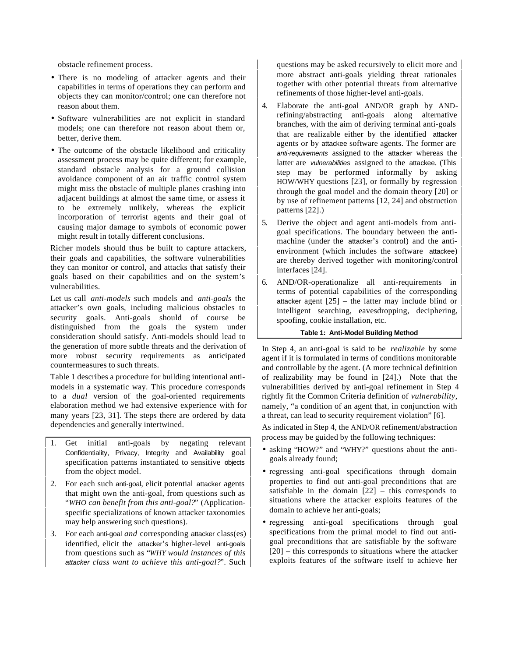obstacle refinement process.

- There is no modeling of attacker agents and their capabilities in terms of operations they can perform and objects they can monitor/control; one can therefore not reason about them.
- Software vulnerabilities are not explicit in standard models; one can therefore not reason about them or, better, derive them.
- The outcome of the obstacle likelihood and criticality assessment process may be quite different; for example, standard obstacle analysis for a ground collision avoidance component of an air traffic control system might miss the obstacle of multiple planes crashing into adjacent buildings at almost the same time, or assess it to be extremely unlikely, whereas the explicit incorporation of terrorist agents and their goal of causing major damage to symbols of economic power might result in totally different conclusions.

Richer models should thus be built to capture attackers, their goals and capabilities, the software vulnerabilities they can monitor or control, and attacks that satisfy their goals based on their capabilities and on the system's vulnerabilities.

Let us call *anti-models* such models and *anti-goals* the attacker's own goals, including malicious obstacles to security goals. Anti-goals should of course be distinguished from the goals the system under consideration should satisfy. Anti-models should lead to the generation of more subtle threats and the derivation of more robust security requirements as anticipated countermeasures to such threats.

Table 1 describes a procedure for building intentional antimodels in a systematic way. This procedure corresponds to a *dual* version of the goal-oriented requirements elaboration method we had extensive experience with for many years [23, 31]. The steps there are ordered by data dependencies and generally intertwined.

- 1. Get initial anti-goals by negating relevant Confidentiality, Privacy, Integrity and Availability goal specification patterns instantiated to sensitive objects from the object model.
- 2. For each such anti-goal, elicit potential attacker agents that might own the anti-goal, from questions such as "*WHO can benefit from this anti-goal?*" (Applicationspecific specializations of known attacker taxonomies may help answering such questions).
- 3. For each anti-goal *and* corresponding attacker class(es) identified, elicit the attacker's higher-level anti-goals from questions such as "*WHY would instances of this attacker class want to achieve this anti-goal?*". Such

questions may be asked recursively to elicit more and more abstract anti-goals yielding threat rationales together with other potential threats from alternative refinements of those higher-level anti-goals.

- 4. Elaborate the anti-goal AND/OR graph by ANDrefining/abstracting anti-goals along alternative branches, with the aim of deriving terminal anti-goals that are realizable either by the identified attacker agents or by attackee software agents. The former are *anti-requirements* assigned to the attacker whereas the latter are *vulnerabilities* assigned to the attackee. (This step may be performed informally by asking HOW/WHY questions [23], or formally by regression through the goal model and the domain theory [20] or by use of refinement patterns [12, 24] and obstruction patterns [22].)
- 5. Derive the object and agent anti-models from antigoal specifications. The boundary between the antimachine (under the attacker's control) and the antienvironment (which includes the software attackee) are thereby derived together with monitoring/control interfaces [24].
- 6. AND/OR-operationalize all anti-requirements in terms of potential capabilities of the corresponding attacker agent [25] – the latter may include blind or intelligent searching, eavesdropping, deciphering, spoofing, cookie installation, etc.

#### **Table 1: Anti-Model Building Method**

In Step 4, an anti-goal is said to be *realizable* by some agent if it is formulated in terms of conditions monitorable and controllable by the agent. (A more technical definition of realizability may be found in [24].) Note that the vulnerabilities derived by anti-goal refinement in Step 4 rightly fit the Common Criteria definition of *vulnerability*, namely, "a condition of an agent that, in conjunction with a threat, can lead to security requirement violation" [6].

As indicated in Step 4, the AND/OR refinement/abstraction process may be guided by the following techniques:

- asking "HOW?" and "WHY?" questions about the antigoals already found;
- regressing anti-goal specifications through domain properties to find out anti-goal preconditions that are satisfiable in the domain  $[22]$  – this corresponds to situations where the attacker exploits features of the domain to achieve her anti-goals;
- regressing anti-goal specifications through goal specifications from the primal model to find out antigoal preconditions that are satisfiable by the software [20] – this corresponds to situations where the attacker exploits features of the software itself to achieve her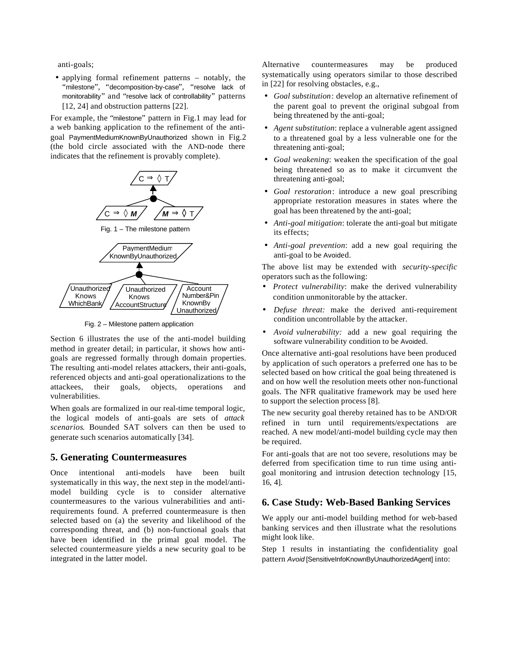anti-goals;

• applying formal refinement patterns – notably, the "milestone", "decomposition-by-case", "resolve lack of monitorability" and "resolve lack of controllability" patterns [12, 24] and obstruction patterns [22].

For example, the "milestone" pattern in Fig.1 may lead for a web banking application to the refinement of the antigoal PaymentMediumKnownByUnauthorized shown in Fig.2 (the bold circle associated with the AND-node there indicates that the refinement is provably complete).



Fig. 2 – Milestone pattern application

Section 6 illustrates the use of the anti-model building method in greater detail; in particular, it shows how antigoals are regressed formally through domain properties. The resulting anti-model relates attackers, their anti-goals, referenced objects and anti-goal operationalizations to the attackees, their goals, objects, operations and vulnerabilities.

When goals are formalized in our real-time temporal logic, the logical models of anti-goals are sets of *attack scenarios*. Bounded SAT solvers can then be used to generate such scenarios automatically [34].

#### **5. Generating Countermeasures**

Once intentional anti-models have been built systematically in this way, the next step in the model/antimodel building cycle is to consider alternative countermeasures to the various vulnerabilities and antirequirements found. A preferred countermeasure is then selected based on (a) the severity and likelihood of the corresponding threat, and (b) non-functional goals that have been identified in the primal goal model. The selected countermeasure yields a new security goal to be integrated in the latter model.

Alternative countermeasures may be produced systematically using operators similar to those described in [22] for resolving obstacles, e.g.,

- *Goal substitution*: develop an alternative refinement of the parent goal to prevent the original subgoal from being threatened by the anti-goal;
- *Agent substitution*: replace a vulnerable agent assigned to a threatened goal by a less vulnerable one for the threatening anti-goal;
- *Goal weakening*: weaken the specification of the goal being threatened so as to make it circumvent the threatening anti-goal;
- *Goal restoration*: introduce a new goal prescribing appropriate restoration measures in states where the goal has been threatened by the anti-goal;
- *Anti-goal mitigation*: tolerate the anti-goal but mitigate its effects;
- *Anti-goal prevention*: add a new goal requiring the anti-goal to be Avoided.

The above list may be extended with *security-specific* operators such as the following:

- *Protect vulnerability*: make the derived vulnerability condition unmonitorable by the attacker.
- *Defuse threat:* make the derived anti-requirement condition uncontrollable by the attacker.
- *Avoid vulnerability:* add a new goal requiring the software vulnerability condition to be Avoided.

Once alternative anti-goal resolutions have been produced by application of such operators a preferred one has to be selected based on how critical the goal being threatened is and on how well the resolution meets other non-functional goals. The NFR qualitative framework may be used here to support the selection process [8].

The new security goal thereby retained has to be AND/OR refined in turn until requirements/expectations are reached. A new model/anti-model building cycle may then be required.

For anti-goals that are not too severe, resolutions may be deferred from specification time to run time using antigoal monitoring and intrusion detection technology [15, 16, 4].

#### **6. Case Study: Web-Based Banking Services**

We apply our anti-model building method for web-based banking services and then illustrate what the resolutions might look like.

Step 1 results in instantiating the confidentiality goal pattern *Avoid* [SensitiveInfoKnownByUnauthorizedAgent] into: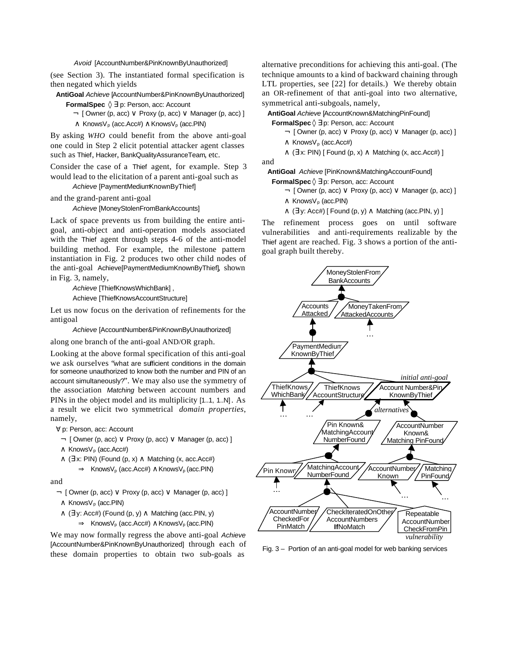#### *Avoid* [AccountNumber&PinKnownByUnauthorized]

(see Section 3). The instantiated formal specification is then negated which yields

- **AntiGoal** *Achieve* [AccountNumber&PinKnownByUnauthorized] **FormalSpec** ◊ ∃ p: Person, acc: Account
	- $\neg$  [ Owner (p, acc)  $\vee$  Proxy (p, acc)  $\vee$  Manager (p, acc) ] ∧ KnowsVp (acc.Acc#) ∧ KnowsVp (acc.PIN)

By asking *WHO* could benefit from the above anti-goal one could in Step 2 elicit potential attacker agent classes such as Thief, Hacker, BankQualityAssuranceTeam, etc.

Consider the case of a Thief agent, for example. Step 3 would lead to the elicitation of a parent anti-goal such as

```
Achieve [PaymentMediumKnownByThief]
```
and the grand-parent anti-goal

*Achieve* [MoneyStolenFromBankAccounts]

Lack of space prevents us from building the entire antigoal, anti-object and anti-operation models associated with the Thief agent through steps 4-6 of the anti-model building method. For example, the milestone pattern instantiation in Fig. 2 produces two other child nodes of the anti-goal Achieve[PaymentMediumKnownByThief], shown in Fig. 3, namely,

> *Achieve* [ThiefKnowsWhichBank] , Achieve [ThiefKnowsAccountStructure]

Let us now focus on the derivation of refinements for the antigoal

*Achieve* [AccountNumber&PinKnownByUnauthorized]

along one branch of the anti-goal AND/OR graph.

Looking at the above formal specification of this anti-goal we ask ourselves "what are sufficient conditions in the domain for someone unauthorized to know both the number and PIN of an account simultaneously?". We may also use the symmetry of the association *Matching* between account numbers and PINs in the object model and its multiplicity [1..1, 1..N] . As a result we elicit two symmetrical *domain properties*, namely,

∀ p: Person, acc: Account

```
\neg [ Owner (p, acc) \vee Proxy (p, acc) \vee Manager (p, acc) ]
```
- ∧ KnowsV<sub>p</sub> (acc.Acc#)
- ∧ (∃ x: PIN) (Found (p, x) ∧ Matching (x, acc.Acc#)
	- $\Rightarrow$  KnowsV<sub>p</sub> (acc.Acc#) ∧ KnowsV<sub>p</sub> (acc.PIN)

and

- ¬ [ Owner (p, acc) ∨ Proxy (p, acc) ∨ Manager (p, acc) ] ∧ KnowsV<sub>p</sub> (acc.PIN)
- ∧ (∃ y: Acc#) (Found (p, y) ∧ Matching (acc.PIN, y)
	- ⇒ KnowsV<sub>p</sub> (acc.Acc#) ∧ KnowsV<sub>p</sub> (acc.PIN)

We may now formally regress the above anti-goal *Achieve* [AccountNumber&PinKnownByUnauthorized] through each of these domain properties to obtain two sub-goals as

alternative preconditions for achieving this anti-goal. (The technique amounts to a kind of backward chaining through LTL properties, see [22] for details.) We thereby obtain an OR-refinement of that anti-goal into two alternative, symmetrical anti-subgoals, namely,

**AntiGoal** *Achieve* [AccountKnown&MatchingPinFound]

**FormalSpec** ◊ ∃ p: Person, acc: Account

- ¬ [ Owner (p, acc) ∨ Proxy (p, acc) ∨ Manager (p, acc) ]
- ∧ KnowsV<sub>p</sub> (acc.Acc#)
- $\wedge$  ( $\exists$  x: PIN) [ Found (p, x)  $\wedge$  Matching (x, acc.Acc#) ]

and **AntiGoal** *Achieve* [PinKnown&MatchingAccountFound]

**FormalSpec** ◊ ∃ p: Person, acc: Account

- ¬ [ Owner (p, acc) ∨ Proxy (p, acc) ∨ Manager (p, acc) ]
- ∧ KnowsVp (acc.PIN)
- $\wedge$  ( $\exists$  y: Acc#) [ Found (p, y)  $\wedge$  Matching (acc.PIN, y) ]

The refinement process goes on until software vulnerabilities and anti-requirements realizable by the Thief agent are reached. Fig. 3 shows a portion of the antigoal graph built thereby.



Fig. 3 – Portion of an anti-goal model for web banking services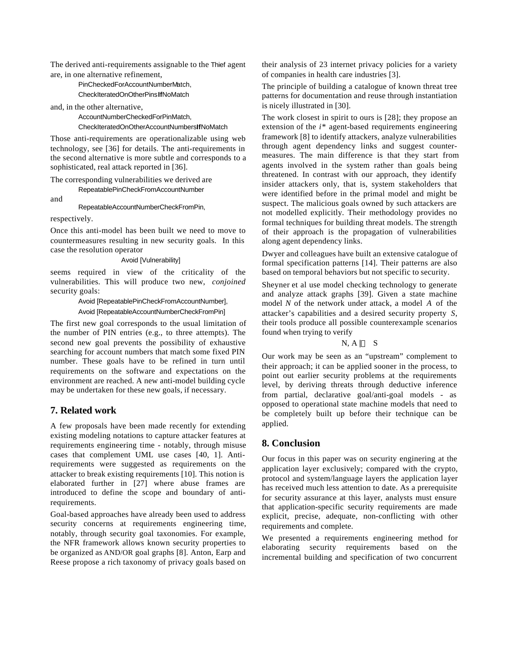The derived anti-requirements assignable to the Thief agent are, in one alternative refinement,

> PinCheckedForAccountNumberMatch, CheckIteratedOnOtherPins**If**NoMatch

and, in the other alternative,

AccountNumberCheckedForPinMatch, CheckIteratedOnOtherAccountNumbers**If**NoMatch

Those anti-requirements are operationalizable using web technology, see [36] for details. The anti-requirements in the second alternative is more subtle and corresponds to a sophisticated, real attack reported in [36].

The corresponding vulnerabilities we derived are

and

RepeatableAccountNumberCheckFromPin,

RepeatablePinCheckFromAccountNumber

respectively.

Once this anti-model has been built we need to move to countermeasures resulting in new security goals. In this case the resolution operator

Avoid [Vulnerability]

seems required in view of the criticality of the vulnerabilities. This will produce two new, *conjoined* security goals:

> Avoid [RepeatablePinCheckFromAccountNumber], Avoid [RepeatableAccountNumberCheckFromPin]

The first new goal corresponds to the usual limitation of the number of PIN entries (e.g., to three attempts). The second new goal prevents the possibility of exhaustive searching for account numbers that match some fixed PIN number. These goals have to be refined in turn until requirements on the software and expectations on the environment are reached. A new anti-model building cycle may be undertaken for these new goals, if necessary.

# **7. Related work**

A few proposals have been made recently for extending existing modeling notations to capture attacker features at requirements engineering time - notably, through misuse cases that complement UML use cases [40, 1]. Antirequirements were suggested as requirements on the attacker to break existing requirements [10]. This notion is elaborated further in [27] where abuse frames are introduced to define the scope and boundary of antirequirements.

Goal-based approaches have already been used to address security concerns at requirements engineering time, notably, through security goal taxonomies. For example, the NFR framework allows known security properties to be organized as AND/OR goal graphs [8]. Anton, Earp and Reese propose a rich taxonomy of privacy goals based on their analysis of 23 internet privacy policies for a variety of companies in health care industries [3].

The principle of building a catalogue of known threat tree patterns for documentation and reuse through instantiation is nicely illustrated in [30].

The work closest in spirit to ours is [28]; they propose an extension of the *i\** agent-based requirements engineering framework [8] to identify attackers, analyze vulnerabilities through agent dependency links and suggest countermeasures. The main difference is that they start from agents involved in the system rather than goals being threatened. In contrast with our approach, they identify insider attackers only, that is, system stakeholders that were identified before in the primal model and might be suspect. The malicious goals owned by such attackers are not modelled explicitly. Their methodology provides no formal techniques for building threat models. The strength of their approach is the propagation of vulnerabilities along agent dependency links.

Dwyer and colleagues have built an extensive catalogue of formal specification patterns [14]. Their patterns are also based on temporal behaviors but not specific to security.

Sheyner et al use model checking technology to generate and analyze attack graphs [39]. Given a state machine model *N* of the network under attack, a model *A* of the attacker's capabilities and a desired security property *S*, their tools produce all possible counterexample scenarios found when trying to verify

### $N, A \rightarrow S$

Our work may be seen as an "upstream" complement to their approach; it can be applied sooner in the process, to point out earlier security problems at the requirements level, by deriving threats through deductive inference from partial, declarative goal/anti-goal models - as opposed to operational state machine models that need to be completely built up before their technique can be applied.

## **8. Conclusion**

Our focus in this paper was on security enginering at the application layer exclusively; compared with the crypto, protocol and system/language layers the application layer has received much less attention to date. As a prerequisite for security assurance at this layer, analysts must ensure that application-specific security requirements are made explicit, precise, adequate, non-conflicting with other requirements and complete.

We presented a requirements engineering method for elaborating security requirements based on the incremental building and specification of two concurrent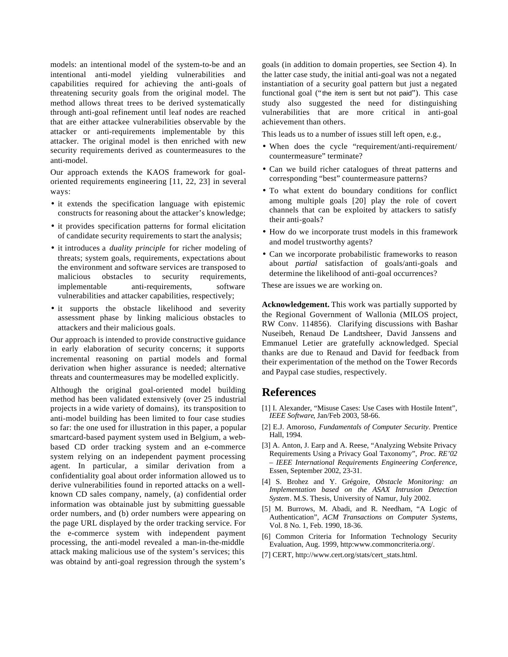models: an intentional model of the system-to-be and an intentional anti-model yielding vulnerabilities and capabilities required for achieving the anti-goals of threatening security goals from the original model. The method allows threat trees to be derived systematically through anti-goal refinement until leaf nodes are reached that are either attackee vulnerabilities observable by the attacker or anti-requirements implementable by this attacker. The original model is then enriched with new security requirements derived as countermeasures to the anti-model.

Our approach extends the KAOS framework for goaloriented requirements engineering [11, 22, 23] in several ways:

- it extends the specification language with epistemic constructs for reasoning about the attacker's knowledge;
- it provides specification patterns for formal elicitation of candidate security requirements to start the analysis;
- it introduces a *duality principle* for richer modeling of threats; system goals, requirements, expectations about the environment and software services are transposed to malicious obstacles to security requirements, implementable anti-requirements, software vulnerabilities and attacker capabilities, respectively;
- it supports the obstacle likelihood and severity assessment phase by linking malicious obstacles to attackers and their malicious goals.

Our approach is intended to provide constructive guidance in early elaboration of security concerns; it supports incremental reasoning on partial models and formal derivation when higher assurance is needed; alternative threats and countermeasures may be modelled explicitly.

Although the original goal-oriented model building method has been validated extensively (over 25 industrial projects in a wide variety of domains), its transposition to anti-model building has been limited to four case studies so far: the one used for illustration in this paper, a popular smartcard-based payment system used in Belgium, a webbased CD order tracking system and an e-commerce system relying on an independent payment processing agent. In particular, a similar derivation from a confidentiality goal about order information allowed us to derive vulnerabilities found in reported attacks on a wellknown CD sales company, namely, (a) confidential order information was obtainable just by submitting guessable order numbers, and (b) order numbers were appearing on the page URL displayed by the order tracking service. For the e-commerce system with independent payment processing, the anti-model revealed a man-in-the-middle attack making malicious use of the system's services; this was obtaind by anti-goal regression through the system's

goals (in addition to domain properties, see Section 4). In the latter case study, the initial anti-goal was not a negated instantiation of a security goal pattern but just a negated functional goal ("the item is sent but not paid"). This case study also suggested the need for distinguishing vulnerabilities that are more critical in anti-goal achievement than others.

This leads us to a number of issues still left open, e.g.,

- When does the cycle "requirement/anti-requirement/ countermeasure" terminate?
- Can we build richer catalogues of threat patterns and corresponding "best" countermeasure patterns?
- To what extent do boundary conditions for conflict among multiple goals [20] play the role of covert channels that can be exploited by attackers to satisfy their anti-goals?
- How do we incorporate trust models in this framework and model trustworthy agents?
- Can we incorporate probabilistic frameworks to reason about *partial* satisfaction of goals/anti-goals and determine the likelihood of anti-goal occurrences?

These are issues we are working on.

**Acknowledgement.** This work was partially supported by the Regional Government of Wallonia (MILOS project, RW Conv. 114856). Clarifying discussions with Bashar Nuseibeh, Renaud De Landtsheer, David Janssens and Emmanuel Letier are gratefully acknowledged. Special thanks are due to Renaud and David for feedback from their experimentation of the method on the Tower Records and Paypal case studies, respectively.

## **References**

- [1] I. Alexander, "Misuse Cases: Use Cases with Hostile Intent", *IEEE Software*, Jan/Feb 2003, 58-66.
- [2] E.J. Amoroso, *Fundamentals of Computer Security*. Prentice Hall, 1994.
- [3] A. Anton, J. Earp and A. Reese, "Analyzing Website Privacy Requirements Using a Privacy Goal Taxonomy", *Proc. RE'02 – IEEE International Requirements Engineering Conference*, Essen, September 2002, 23-31.
- [4] S. Brohez and Y. Grégoire, *Obstacle Monitoring: an Implementation based on the ASAX Intrusion Detection System*. M.S. Thesis, University of Namur, July 2002.
- [5] M. Burrows, M. Abadi, and R. Needham, "A Logic of Authentication", *ACM Transactions on Computer Systems*, Vol. 8 No. 1, Feb. 1990, 18-36.
- [6] Common Criteria for Information Technology Security Evaluation, Aug. 1999, http:www.commoncriteria.org/.
- [7] CERT, http://www.cert.org/stats/cert\_stats.html.